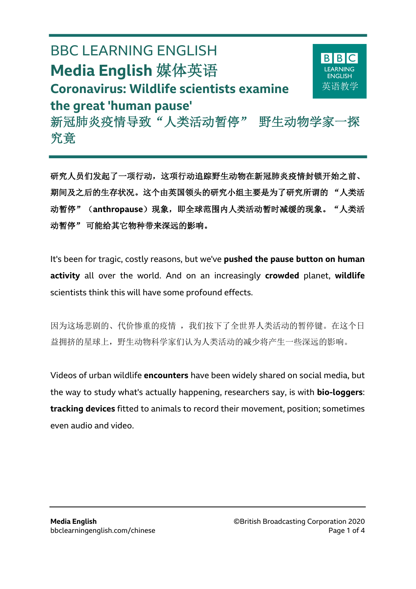# BBC LEARNING ENGLISH **Media English** 媒体英语 **Coronavirus: Wildlife scientists examine the great 'human pause'** 新冠肺炎疫情导致"人类活动暂停" 野生动物学家一探

 $\overline{a}$ 

究竟

研究人员们发起了一项行动,这项行动追踪野生动物在新冠肺炎疫情封锁开始之前、 期间及之后的生存状况。这个由英国领头的研究小组主要是为了研究所谓的 "人类活 动暂停"(anthropause)现象, 即全球范围内人类活动暂时减缓的现象。"人类活 动暂停" 可能给其它物种带来深远的影响。

It's been for tragic, costly reasons, but we've **pushed the pause button on human activity** all over the world. And on an increasingly **crowded** planet, **wildlife** scientists think this will have some profound effects.

因为这场悲剧的、代价惨重的疫情,我们按下了全世界人类活动的暂停键。在这个日 益拥挤的星球上,野生动物科学家们认为人类活动的减少将产生一些深远的影响。

Videos of urban wildlife **encounters** have been widely shared on social media, but the way to study what's actually happening, researchers say, is with **bio-loggers**: **tracking devices** fitted to animals to record their movement, position; sometimes even audio and video.

**BIB** 

英语教学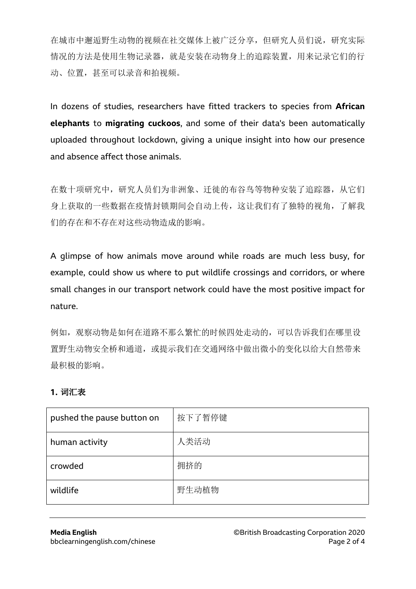在城市中邂逅野生动物的视频在社交媒体上被广泛分享,但研究人员们说,研究实际 情况的方法是使用生物记录器,就是安装在动物身上的追踪装置,用来记录它们的行 动、位置,甚至可以录音和拍视频。

In dozens of studies, researchers have fitted trackers to species from **African elephants** to **migrating cuckoos**, and some of their data's been automatically uploaded throughout lockdown, giving a unique insight into how our presence and absence affect those animals.

在数十项研究中,研究人员们为非洲象、迁徙的布谷鸟等物种安装了追踪器,从它们 身上获取的一些数据在疫情封锁期间会自动上传,这让我们有了独特的视角,了解我 们的存在和不存在对这些动物造成的影响。

A glimpse of how animals move around while roads are much less busy, for example, could show us where to put wildlife crossings and corridors, or where small changes in our transport network could have the most positive impact for nature.

例如,观察动物是如何在道路不那么繁忙的时候四处走动的,可以告诉我们在哪里设 置野生动物安全桥和通道,或提示我们在交通网络中做出微小的变化以给大自然带来 最积极的影响。

#### **1.** 词汇表

| pushed the pause button on | 按下了暂停键 |
|----------------------------|--------|
| human activity             | 人类活动   |
| crowded                    | 拥挤的    |
| wildlife                   | 野生动植物  |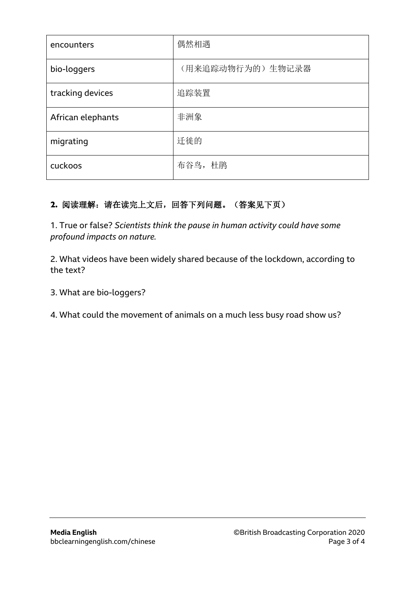| encounters        | 偶然相遇             |
|-------------------|------------------|
| bio-loggers       | (用来追踪动物行为的)生物记录器 |
| tracking devices  | 追踪装置             |
| African elephants | 非洲象              |
| migrating         | 迁徙的              |
| cuckoos           | 布谷鸟, 杜鹃          |

## **2.** 阅读理解:请在读完上文后,回答下列问题。(答案见下页)

1. True or false? *Scientists think the pause in human activity could have some profound impacts on nature.*

2. What videos have been widely shared because of the lockdown, according to the text?

3. What are bio-loggers?

4. What could the movement of animals on a much less busy road show us?